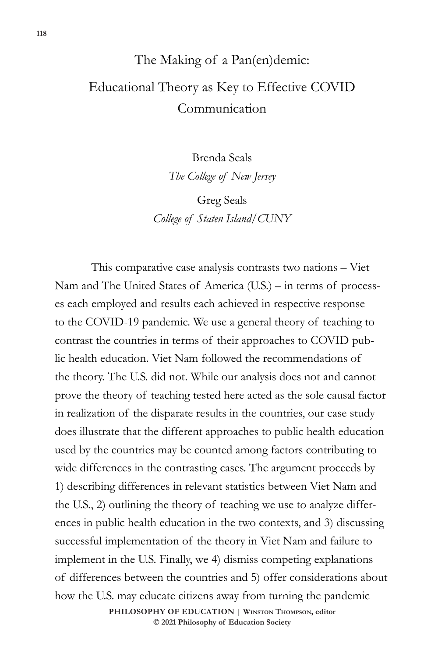# The Making of a Pan(en)demic: Educational Theory as Key to Effective COVID Communication

Brenda Seals *The College of New Jersey*

Greg Seals *College of Staten Island/CUNY*

This comparative case analysis contrasts two nations – Viet Nam and The United States of America (U.S.) – in terms of processes each employed and results each achieved in respective response to the COVID-19 pandemic. We use a general theory of teaching to contrast the countries in terms of their approaches to COVID public health education. Viet Nam followed the recommendations of the theory. The U.S. did not. While our analysis does not and cannot prove the theory of teaching tested here acted as the sole causal factor in realization of the disparate results in the countries, our case study does illustrate that the different approaches to public health education used by the countries may be counted among factors contributing to wide differences in the contrasting cases. The argument proceeds by 1) describing differences in relevant statistics between Viet Nam and the U.S., 2) outlining the theory of teaching we use to analyze differences in public health education in the two contexts, and 3) discussing successful implementation of the theory in Viet Nam and failure to implement in the U.S. Finally, we 4) dismiss competing explanations of differences between the countries and 5) offer considerations about how the U.S. may educate citizens away from turning the pandemic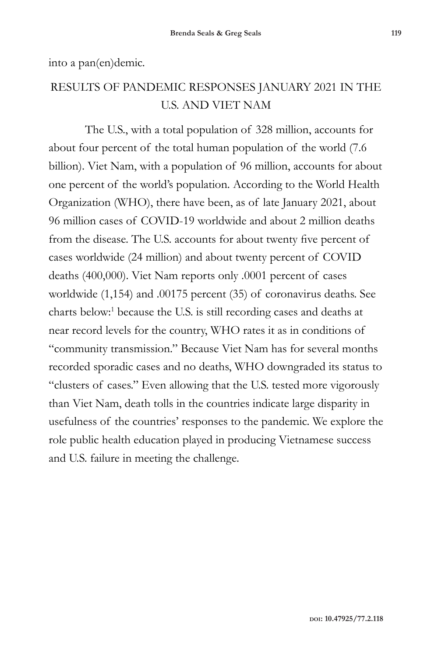into a pan(en)demic.

#### RESULTS OF PANDEMIC RESPONSES JANUARY 2021 IN THE U.S. AND VIET NAM

The U.S., with a total population of 328 million, accounts for about four percent of the total human population of the world (7.6 billion). Viet Nam, with a population of 96 million, accounts for about one percent of the world's population. According to the World Health Organization (WHO), there have been, as of late January 2021, about 96 million cases of COVID-19 worldwide and about 2 million deaths from the disease. The U.S. accounts for about twenty five percent of cases worldwide (24 million) and about twenty percent of COVID deaths (400,000). Viet Nam reports only .0001 percent of cases worldwide (1,154) and .00175 percent (35) of coronavirus deaths. See charts below:<sup>1</sup> because the U.S. is still recording cases and deaths at near record levels for the country, WHO rates it as in conditions of "community transmission." Because Viet Nam has for several months recorded sporadic cases and no deaths, WHO downgraded its status to "clusters of cases." Even allowing that the U.S. tested more vigorously than Viet Nam, death tolls in the countries indicate large disparity in usefulness of the countries' responses to the pandemic. We explore the role public health education played in producing Vietnamese success and U.S. failure in meeting the challenge.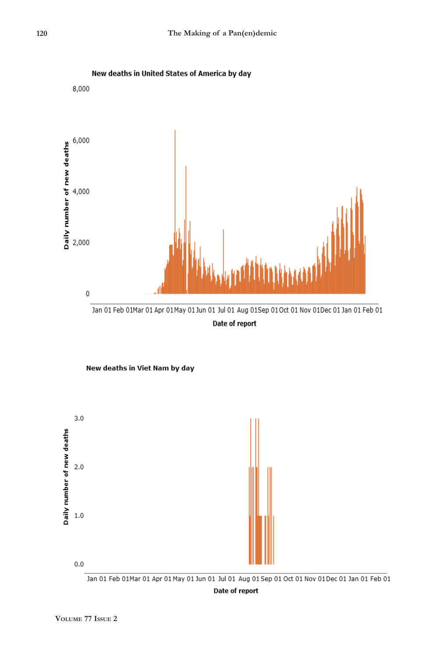





New deaths in Viet Nam by day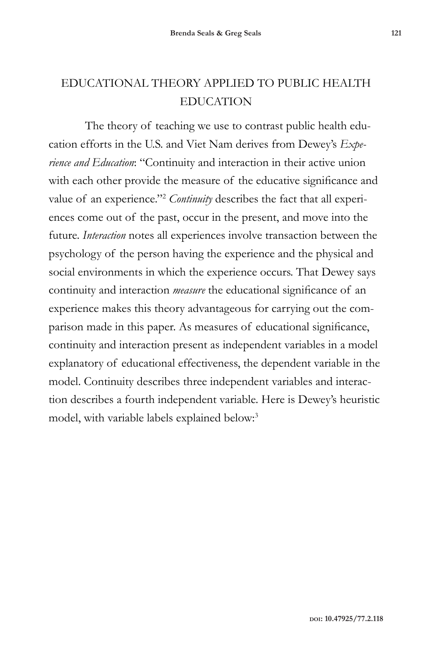The theory of teaching we use to contrast public health education efforts in the U.S. and Viet Nam derives from Dewey's *Experience and Education*: "Continuity and interaction in their active union with each other provide the measure of the educative significance and value of an experience."2 *Continuity* describes the fact that all experiences come out of the past, occur in the present, and move into the future. *Interaction* notes all experiences involve transaction between the psychology of the person having the experience and the physical and social environments in which the experience occurs. That Dewey says continuity and interaction *measure* the educational significance of an experience makes this theory advantageous for carrying out the comparison made in this paper. As measures of educational significance, continuity and interaction present as independent variables in a model explanatory of educational effectiveness, the dependent variable in the model. Continuity describes three independent variables and interaction describes a fourth independent variable. Here is Dewey's heuristic model, with variable labels explained below:3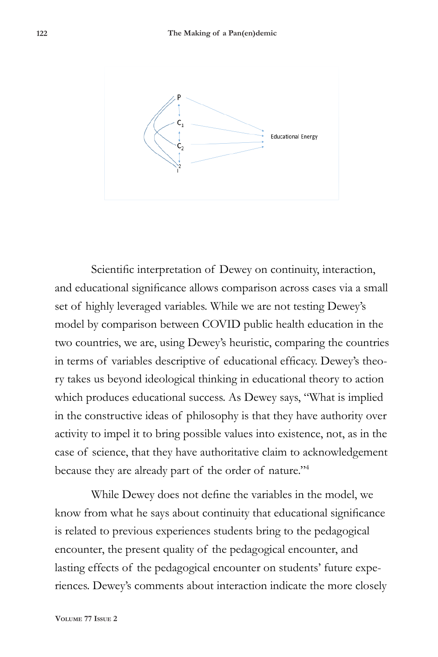

Scientific interpretation of Dewey on continuity, interaction, and educational significance allows comparison across cases via a small set of highly leveraged variables. While we are not testing Dewey's model by comparison between COVID public health education in the two countries, we are, using Dewey's heuristic, comparing the countries in terms of variables descriptive of educational efficacy. Dewey's theory takes us beyond ideological thinking in educational theory to action which produces educational success. As Dewey says, "What is implied in the constructive ideas of philosophy is that they have authority over activity to impel it to bring possible values into existence, not, as in the case of science, that they have authoritative claim to acknowledgement because they are already part of the order of nature."4

While Dewey does not define the variables in the model, we know from what he says about continuity that educational significance is related to previous experiences students bring to the pedagogical encounter, the present quality of the pedagogical encounter, and lasting effects of the pedagogical encounter on students' future experiences. Dewey's comments about interaction indicate the more closely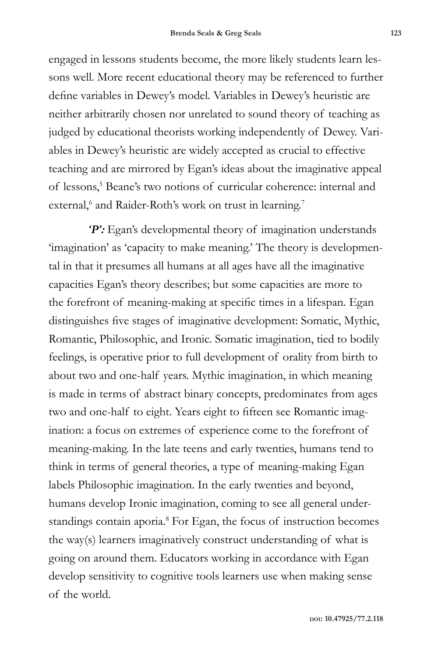engaged in lessons students become, the more likely students learn lessons well. More recent educational theory may be referenced to further define variables in Dewey's model. Variables in Dewey's heuristic are neither arbitrarily chosen nor unrelated to sound theory of teaching as judged by educational theorists working independently of Dewey. Variables in Dewey's heuristic are widely accepted as crucial to effective teaching and are mirrored by Egan's ideas about the imaginative appeal of lessons,<sup>5</sup> Beane's two notions of curricular coherence: internal and external,<sup>6</sup> and Raider-Roth's work on trust in learning.<sup>7</sup>

 *'P':* Egan's developmental theory of imagination understands 'imagination' as 'capacity to make meaning.' The theory is developmental in that it presumes all humans at all ages have all the imaginative capacities Egan's theory describes; but some capacities are more to the forefront of meaning-making at specific times in a lifespan. Egan distinguishes five stages of imaginative development: Somatic, Mythic, Romantic, Philosophic, and Ironic. Somatic imagination, tied to bodily feelings, is operative prior to full development of orality from birth to about two and one-half years. Mythic imagination, in which meaning is made in terms of abstract binary concepts, predominates from ages two and one-half to eight. Years eight to fifteen see Romantic imagination: a focus on extremes of experience come to the forefront of meaning-making. In the late teens and early twenties, humans tend to think in terms of general theories, a type of meaning-making Egan labels Philosophic imagination. In the early twenties and beyond, humans develop Ironic imagination, coming to see all general understandings contain aporia.<sup>8</sup> For Egan, the focus of instruction becomes the way(s) learners imaginatively construct understanding of what is going on around them. Educators working in accordance with Egan develop sensitivity to cognitive tools learners use when making sense of the world.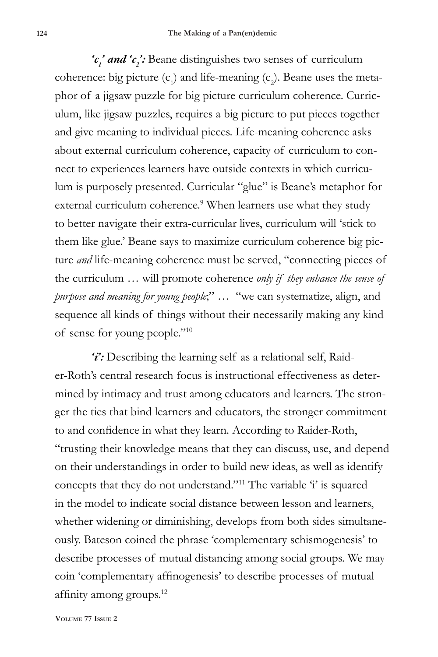'c<sub>1</sub>' and 'c<sub>2</sub>': Beane distinguishes two senses of curriculum coherence: big picture  $(c_1)$  and life-meaning  $(c_2)$ . Beane uses the metaphor of a jigsaw puzzle for big picture curriculum coherence. Curriculum, like jigsaw puzzles, requires a big picture to put pieces together and give meaning to individual pieces. Life-meaning coherence asks about external curriculum coherence, capacity of curriculum to connect to experiences learners have outside contexts in which curriculum is purposely presented. Curricular "glue" is Beane's metaphor for external curriculum coherence.<sup>9</sup> When learners use what they study to better navigate their extra-curricular lives, curriculum will 'stick to them like glue.' Beane says to maximize curriculum coherence big picture *and* life-meaning coherence must be served, "connecting pieces of the curriculum … will promote coherence *only if they enhance the sense of purpose and meaning for young people*;" … "we can systematize, align, and sequence all kinds of things without their necessarily making any kind of sense for young people."10

*'i':* Describing the learning self as a relational self, Raider-Roth's central research focus is instructional effectiveness as determined by intimacy and trust among educators and learners. The stronger the ties that bind learners and educators, the stronger commitment to and confidence in what they learn. According to Raider-Roth, "trusting their knowledge means that they can discuss, use, and depend on their understandings in order to build new ideas, as well as identify concepts that they do not understand."<sup>11</sup> The variable 'i' is squared in the model to indicate social distance between lesson and learners, whether widening or diminishing, develops from both sides simultaneously. Bateson coined the phrase 'complementary schismogenesis' to describe processes of mutual distancing among social groups. We may coin 'complementary affinogenesis' to describe processes of mutual affinity among groups.12

**Volume 77 Issue 2**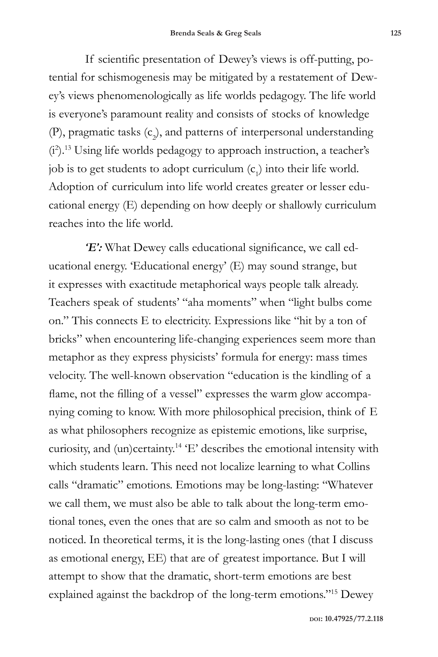If scientific presentation of Dewey's views is off-putting, potential for schismogenesis may be mitigated by a restatement of Dewey's views phenomenologically as life worlds pedagogy. The life world is everyone's paramount reality and consists of stocks of knowledge (P), pragmatic tasks  $(c_2)$ , and patterns of interpersonal understanding (i2 ).13 Using life worlds pedagogy to approach instruction, a teacher's job is to get students to adopt curriculum  $(c<sub>1</sub>)$  into their life world. Adoption of curriculum into life world creates greater or lesser educational energy (E) depending on how deeply or shallowly curriculum reaches into the life world.

*'E':* What Dewey calls educational significance, we call educational energy. 'Educational energy' (E) may sound strange, but it expresses with exactitude metaphorical ways people talk already. Teachers speak of students' "aha moments" when "light bulbs come on." This connects E to electricity. Expressions like "hit by a ton of bricks" when encountering life-changing experiences seem more than metaphor as they express physicists' formula for energy: mass times velocity. The well-known observation "education is the kindling of a flame, not the filling of a vessel" expresses the warm glow accompanying coming to know. With more philosophical precision, think of E as what philosophers recognize as epistemic emotions, like surprise, curiosity, and (un)certainty.14 'E' describes the emotional intensity with which students learn. This need not localize learning to what Collins calls "dramatic" emotions. Emotions may be long-lasting: "Whatever we call them, we must also be able to talk about the long-term emotional tones, even the ones that are so calm and smooth as not to be noticed. In theoretical terms, it is the long-lasting ones (that I discuss as emotional energy, EE) that are of greatest importance. But I will attempt to show that the dramatic, short-term emotions are best explained against the backdrop of the long-term emotions."15 Dewey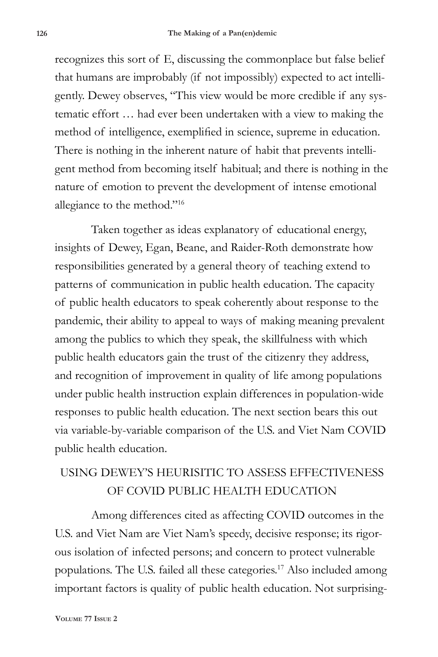recognizes this sort of E, discussing the commonplace but false belief that humans are improbably (if not impossibly) expected to act intelligently. Dewey observes, "This view would be more credible if any systematic effort … had ever been undertaken with a view to making the method of intelligence, exemplified in science, supreme in education. There is nothing in the inherent nature of habit that prevents intelligent method from becoming itself habitual; and there is nothing in the nature of emotion to prevent the development of intense emotional allegiance to the method."16

Taken together as ideas explanatory of educational energy, insights of Dewey, Egan, Beane, and Raider-Roth demonstrate how responsibilities generated by a general theory of teaching extend to patterns of communication in public health education. The capacity of public health educators to speak coherently about response to the pandemic, their ability to appeal to ways of making meaning prevalent among the publics to which they speak, the skillfulness with which public health educators gain the trust of the citizenry they address, and recognition of improvement in quality of life among populations under public health instruction explain differences in population-wide responses to public health education. The next section bears this out via variable-by-variable comparison of the U.S. and Viet Nam COVID public health education.

## USING DEWEY'S HEURISITIC TO ASSESS EFFECTIVENESS OF COVID PUBLIC HEALTH EDUCATION

Among differences cited as affecting COVID outcomes in the U.S. and Viet Nam are Viet Nam's speedy, decisive response; its rigorous isolation of infected persons; and concern to protect vulnerable populations. The U.S. failed all these categories.17 Also included among important factors is quality of public health education. Not surprising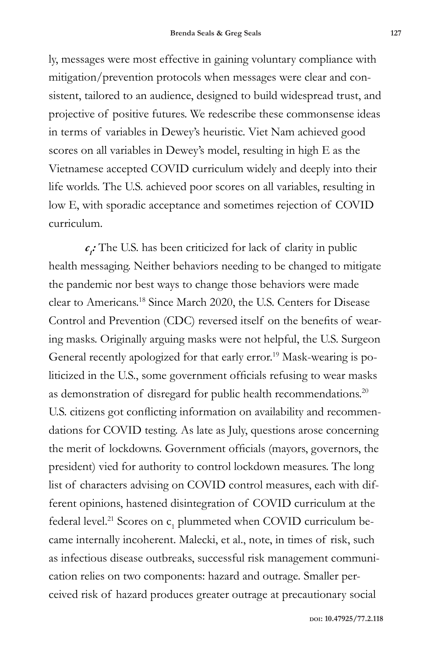ly, messages were most effective in gaining voluntary compliance with mitigation/prevention protocols when messages were clear and consistent, tailored to an audience, designed to build widespread trust, and projective of positive futures. We redescribe these commonsense ideas in terms of variables in Dewey's heuristic. Viet Nam achieved good scores on all variables in Dewey's model, resulting in high E as the Vietnamese accepted COVID curriculum widely and deeply into their life worlds. The U.S. achieved poor scores on all variables, resulting in low E, with sporadic acceptance and sometimes rejection of COVID curriculum.

*c1 :* The U.S. has been criticized for lack of clarity in public health messaging. Neither behaviors needing to be changed to mitigate the pandemic nor best ways to change those behaviors were made clear to Americans.18 Since March 2020, the U.S. Centers for Disease Control and Prevention (CDC) reversed itself on the benefits of wearing masks. Originally arguing masks were not helpful, the U.S. Surgeon General recently apologized for that early error.19 Mask-wearing is politicized in the U.S., some government officials refusing to wear masks as demonstration of disregard for public health recommendations.<sup>20</sup> U.S. citizens got conflicting information on availability and recommendations for COVID testing. As late as July, questions arose concerning the merit of lockdowns. Government officials (mayors, governors, the president) vied for authority to control lockdown measures. The long list of characters advising on COVID control measures, each with different opinions, hastened disintegration of COVID curriculum at the federal level.<sup>21</sup> Scores on  $c_1$  plummeted when COVID curriculum became internally incoherent. Malecki, et al., note, in times of risk, such as infectious disease outbreaks, successful risk management communication relies on two components: hazard and outrage. Smaller perceived risk of hazard produces greater outrage at precautionary social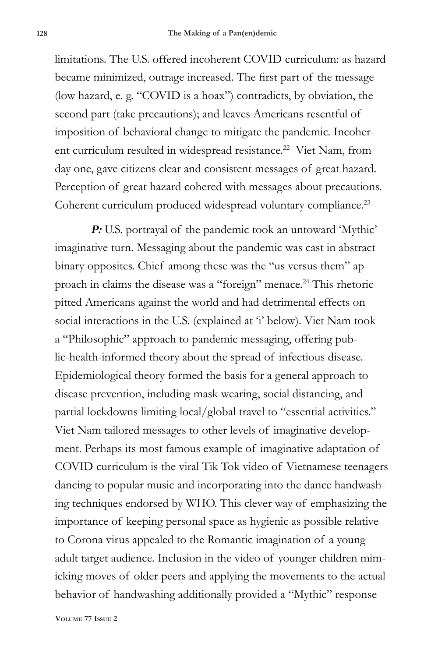limitations. The U.S. offered incoherent COVID curriculum: as hazard became minimized, outrage increased. The first part of the message (low hazard, e. g. "COVID is a hoax") contradicts, by obviation, the second part (take precautions); and leaves Americans resentful of imposition of behavioral change to mitigate the pandemic. Incoherent curriculum resulted in widespread resistance.<sup>22</sup> Viet Nam, from day one, gave citizens clear and consistent messages of great hazard. Perception of great hazard cohered with messages about precautions. Coherent curriculum produced widespread voluntary compliance.<sup>23</sup>

*P:* U.S. portrayal of the pandemic took an untoward 'Mythic' imaginative turn. Messaging about the pandemic was cast in abstract binary opposites. Chief among these was the "us versus them" approach in claims the disease was a "foreign" menace.24 This rhetoric pitted Americans against the world and had detrimental effects on social interactions in the U.S. (explained at 'i' below). Viet Nam took a "Philosophic" approach to pandemic messaging, offering public-health-informed theory about the spread of infectious disease. Epidemiological theory formed the basis for a general approach to disease prevention, including mask wearing, social distancing, and partial lockdowns limiting local/global travel to "essential activities." Viet Nam tailored messages to other levels of imaginative development. Perhaps its most famous example of imaginative adaptation of COVID curriculum is the viral Tik Tok video of Vietnamese teenagers dancing to popular music and incorporating into the dance handwashing techniques endorsed by WHO. This clever way of emphasizing the importance of keeping personal space as hygienic as possible relative to Corona virus appealed to the Romantic imagination of a young adult target audience. Inclusion in the video of younger children mimicking moves of older peers and applying the movements to the actual behavior of handwashing additionally provided a "Mythic" response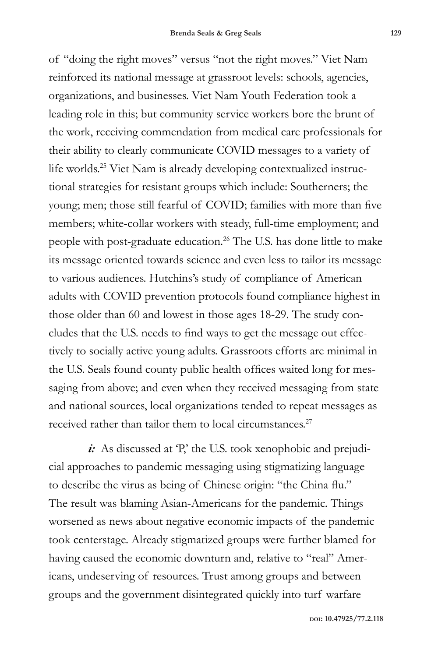of "doing the right moves" versus "not the right moves." Viet Nam reinforced its national message at grassroot levels: schools, agencies, organizations, and businesses. Viet Nam Youth Federation took a leading role in this; but community service workers bore the brunt of the work, receiving commendation from medical care professionals for their ability to clearly communicate COVID messages to a variety of life worlds.<sup>25</sup> Viet Nam is already developing contextualized instructional strategies for resistant groups which include: Southerners; the young; men; those still fearful of COVID; families with more than five members; white-collar workers with steady, full-time employment; and people with post-graduate education.<sup>26</sup> The U.S. has done little to make its message oriented towards science and even less to tailor its message to various audiences. Hutchins's study of compliance of American adults with COVID prevention protocols found compliance highest in those older than 60 and lowest in those ages 18-29. The study concludes that the U.S. needs to find ways to get the message out effectively to socially active young adults. Grassroots efforts are minimal in the U.S. Seals found county public health offices waited long for messaging from above; and even when they received messaging from state and national sources, local organizations tended to repeat messages as received rather than tailor them to local circumstances. $27$ 

*i*: As discussed at 'P,' the U.S. took xenophobic and prejudicial approaches to pandemic messaging using stigmatizing language to describe the virus as being of Chinese origin: "the China flu." The result was blaming Asian-Americans for the pandemic. Things worsened as news about negative economic impacts of the pandemic took centerstage. Already stigmatized groups were further blamed for having caused the economic downturn and, relative to "real" Americans, undeserving of resources. Trust among groups and between groups and the government disintegrated quickly into turf warfare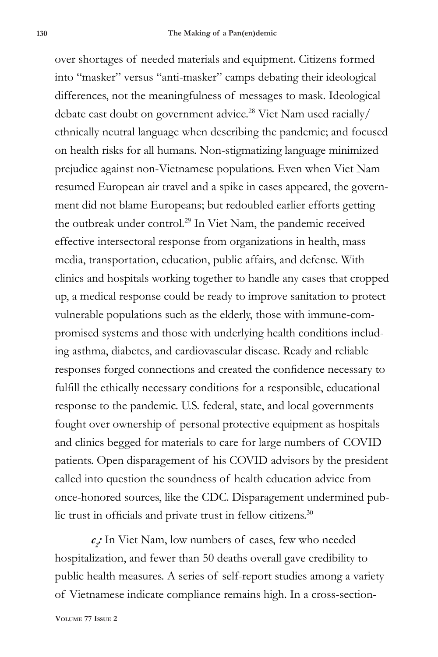over shortages of needed materials and equipment. Citizens formed into "masker" versus "anti-masker" camps debating their ideological differences, not the meaningfulness of messages to mask. Ideological debate cast doubt on government advice.28 Viet Nam used racially/ ethnically neutral language when describing the pandemic; and focused on health risks for all humans. Non-stigmatizing language minimized prejudice against non-Vietnamese populations. Even when Viet Nam resumed European air travel and a spike in cases appeared, the government did not blame Europeans; but redoubled earlier efforts getting the outbreak under control.<sup>29</sup> In Viet Nam, the pandemic received effective intersectoral response from organizations in health, mass media, transportation, education, public affairs, and defense. With clinics and hospitals working together to handle any cases that cropped up, a medical response could be ready to improve sanitation to protect vulnerable populations such as the elderly, those with immune-compromised systems and those with underlying health conditions including asthma, diabetes, and cardiovascular disease. Ready and reliable responses forged connections and created the confidence necessary to fulfill the ethically necessary conditions for a responsible, educational response to the pandemic. U.S. federal, state, and local governments fought over ownership of personal protective equipment as hospitals and clinics begged for materials to care for large numbers of COVID patients. Open disparagement of his COVID advisors by the president called into question the soundness of health education advice from once-honored sources, like the CDC. Disparagement undermined public trust in officials and private trust in fellow citizens.<sup>30</sup>

*c2 :* In Viet Nam, low numbers of cases, few who needed hospitalization, and fewer than 50 deaths overall gave credibility to public health measures. A series of self-report studies among a variety of Vietnamese indicate compliance remains high. In a cross-section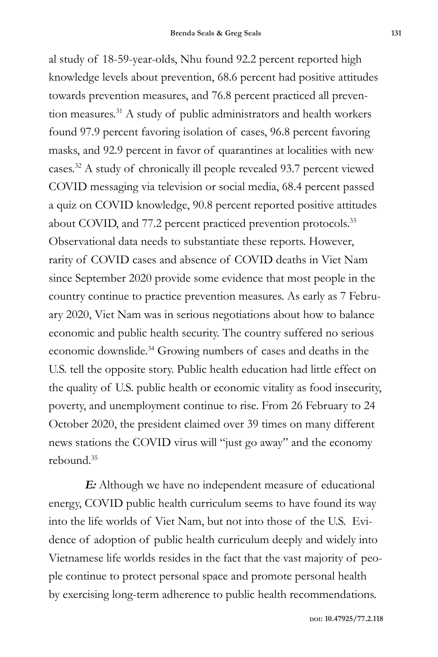al study of 18-59-year-olds, Nhu found 92.2 percent reported high knowledge levels about prevention, 68.6 percent had positive attitudes towards prevention measures, and 76.8 percent practiced all prevention measures.<sup>31</sup> A study of public administrators and health workers found 97.9 percent favoring isolation of cases, 96.8 percent favoring masks, and 92.9 percent in favor of quarantines at localities with new cases.32 A study of chronically ill people revealed 93.7 percent viewed COVID messaging via television or social media, 68.4 percent passed a quiz on COVID knowledge, 90.8 percent reported positive attitudes about COVID, and 77.2 percent practiced prevention protocols.<sup>33</sup> Observational data needs to substantiate these reports. However, rarity of COVID cases and absence of COVID deaths in Viet Nam since September 2020 provide some evidence that most people in the country continue to practice prevention measures. As early as 7 February 2020, Viet Nam was in serious negotiations about how to balance economic and public health security. The country suffered no serious economic downslide.34 Growing numbers of cases and deaths in the U.S. tell the opposite story. Public health education had little effect on the quality of U.S. public health or economic vitality as food insecurity, poverty, and unemployment continue to rise. From 26 February to 24 October 2020, the president claimed over 39 times on many different news stations the COVID virus will "just go away" and the economy  $rebound$ <sup>35</sup>

*E:* Although we have no independent measure of educational energy, COVID public health curriculum seems to have found its way into the life worlds of Viet Nam, but not into those of the U.S. Evidence of adoption of public health curriculum deeply and widely into Vietnamese life worlds resides in the fact that the vast majority of people continue to protect personal space and promote personal health by exercising long-term adherence to public health recommendations.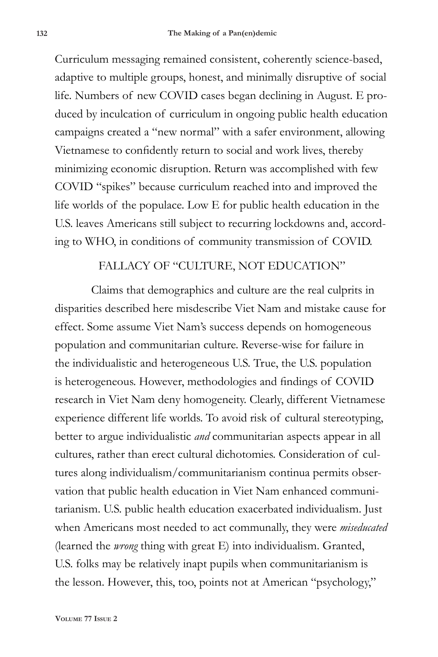Curriculum messaging remained consistent, coherently science-based, adaptive to multiple groups, honest, and minimally disruptive of social life. Numbers of new COVID cases began declining in August. E produced by inculcation of curriculum in ongoing public health education campaigns created a "new normal" with a safer environment, allowing Vietnamese to confidently return to social and work lives, thereby minimizing economic disruption. Return was accomplished with few COVID "spikes" because curriculum reached into and improved the life worlds of the populace. Low E for public health education in the U.S. leaves Americans still subject to recurring lockdowns and, according to WHO, in conditions of community transmission of COVID.

#### FALLACY OF "CULTURE, NOT EDUCATION"

Claims that demographics and culture are the real culprits in disparities described here misdescribe Viet Nam and mistake cause for effect. Some assume Viet Nam's success depends on homogeneous population and communitarian culture. Reverse-wise for failure in the individualistic and heterogeneous U.S. True, the U.S. population is heterogeneous. However, methodologies and findings of COVID research in Viet Nam deny homogeneity. Clearly, different Vietnamese experience different life worlds. To avoid risk of cultural stereotyping, better to argue individualistic *and* communitarian aspects appear in all cultures, rather than erect cultural dichotomies. Consideration of cultures along individualism/communitarianism continua permits observation that public health education in Viet Nam enhanced communitarianism. U.S. public health education exacerbated individualism. Just when Americans most needed to act communally, they were *miseducated* (learned the *wrong* thing with great E) into individualism. Granted, U.S. folks may be relatively inapt pupils when communitarianism is the lesson. However, this, too, points not at American "psychology,"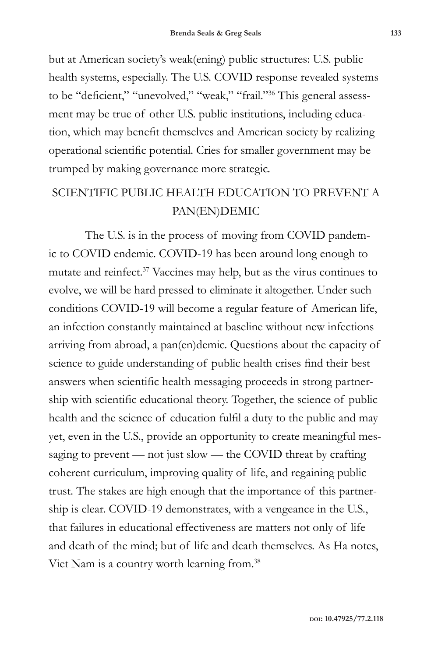but at American society's weak(ening) public structures: U.S. public health systems, especially. The U.S. COVID response revealed systems to be "deficient," "unevolved," "weak," "frail."36 This general assessment may be true of other U.S. public institutions, including education, which may benefit themselves and American society by realizing operational scientific potential. Cries for smaller government may be trumped by making governance more strategic.

## SCIENTIFIC PUBLIC HEALTH EDUCATION TO PREVENT A PAN(EN)DEMIC

The U.S. is in the process of moving from COVID pandemic to COVID endemic. COVID-19 has been around long enough to mutate and reinfect.37 Vaccines may help, but as the virus continues to evolve, we will be hard pressed to eliminate it altogether. Under such conditions COVID-19 will become a regular feature of American life, an infection constantly maintained at baseline without new infections arriving from abroad, a pan(en)demic. Questions about the capacity of science to guide understanding of public health crises find their best answers when scientific health messaging proceeds in strong partnership with scientific educational theory. Together, the science of public health and the science of education fulfil a duty to the public and may yet, even in the U.S., provide an opportunity to create meaningful messaging to prevent — not just slow — the COVID threat by crafting coherent curriculum, improving quality of life, and regaining public trust. The stakes are high enough that the importance of this partnership is clear. COVID-19 demonstrates, with a vengeance in the U.S., that failures in educational effectiveness are matters not only of life and death of the mind; but of life and death themselves. As Ha notes, Viet Nam is a country worth learning from.38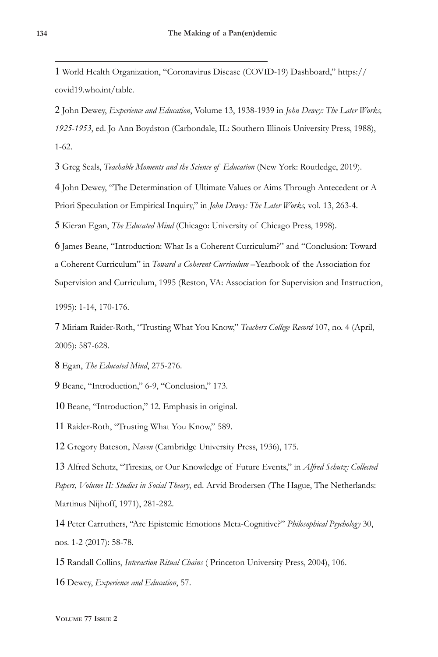1 World Health Organization, "Coronavirus Disease (COVID-19) Dashboard," https:// covid19.who.int/table.

2 John Dewey, *Experience and Education*, Volume 13, 1938-1939 in *John Dewey: The Later Works, 1925-1953*, ed. Jo Ann Boydston (Carbondale, IL: Southern Illinois University Press, 1988), 1-62.

3 Greg Seals, *Teachable Moments and the Science of Education* (New York: Routledge, 2019).

4 John Dewey, "The Determination of Ultimate Values or Aims Through Antecedent or A Priori Speculation or Empirical Inquiry," in *John Dewey: The Later Works,* vol. 13, 263-4.

5 Kieran Egan, *The Educated Mind* (Chicago: University of Chicago Press, 1998).

6 James Beane, "Introduction: What Is a Coherent Curriculum?" and "Conclusion: Toward a Coherent Curriculum" in *Toward a Coherent Curriculum* –Yearbook of the Association for Supervision and Curriculum, 1995 (Reston, VA: Association for Supervision and Instruction,

1995): 1-14, 170-176.

7 Miriam Raider-Roth, "Trusting What You Know," *Teachers College Record* 107, no. 4 (April, 2005): 587-628.

8 Egan, *The Educated Mind*, 275-276.

9 Beane, "Introduction," 6-9, "Conclusion," 173.

10 Beane, "Introduction," 12. Emphasis in original.

11 Raider-Roth, "Trusting What You Know," 589.

12 Gregory Bateson, *Naven* (Cambridge University Press, 1936), 175.

13 Alfred Schutz, "Tiresias, or Our Knowledge of Future Events," in *Alfred Schutz: Collected Papers, Volume II: Studies in Social Theory*, ed. Arvid Brodersen (The Hague, The Netherlands: Martinus Nijhoff, 1971), 281-282.

14 Peter Carruthers, "Are Epistemic Emotions Meta-Cognitive?" *Philosophical Psychology* 30, nos. 1-2 (2017): 58-78.

15 Randall Collins, *Interaction Ritual Chains* ( Princeton University Press, 2004), 106.

16 Dewey, *Experience and Education*, 57.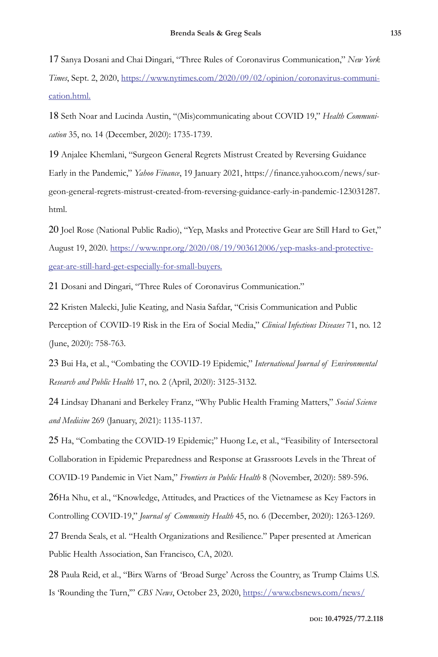17 Sanya Dosani and Chai Dingari, "Three Rules of Coronavirus Communication," *New York Times*, Sept. 2, 2020, https://www.nytimes.com/2020/09/02/opinion/coronavirus-communication.html.

18 Seth Noar and Lucinda Austin, "(Mis)communicating about COVID 19," *Health Communication* 35, no. 14 (December, 2020): 1735-1739.

19 Anjalee Khemlani, "Surgeon General Regrets Mistrust Created by Reversing Guidance Early in the Pandemic," *Yahoo Finance*, 19 January 2021, https://finance.yahoo.com/news/surgeon-general-regrets-mistrust-created-from-reversing-guidance-early-in-pandemic-123031287. html.

20 Joel Rose (National Public Radio), "Yep, Masks and Protective Gear are Still Hard to Get," August 19, 2020. https://www.npr.org/2020/08/19/903612006/yep-masks-and-protectivegear-are-still-hard-get-especially-for-small-buyers.

21 Dosani and Dingari, "Three Rules of Coronavirus Communication."

22 Kristen Malecki, Julie Keating, and Nasia Safdar, "Crisis Communication and Public Perception of COVID-19 Risk in the Era of Social Media," *Clinical Infectious Diseases* 71, no. 12 (June, 2020): 758-763.

23 Bui Ha, et al., "Combating the COVID-19 Epidemic," *International Journal of Environmental Research and Public Health* 17, no. 2 (April, 2020): 3125-3132.

24 Lindsay Dhanani and Berkeley Franz, "Why Public Health Framing Matters," *Social Science and Medicine* 269 (January, 2021): 1135-1137.

25 Ha, "Combating the COVID-19 Epidemic;" Huong Le, et al., "Feasibility of Intersectoral Collaboration in Epidemic Preparedness and Response at Grassroots Levels in the Threat of COVID-19 Pandemic in Viet Nam," *Frontiers in Public Health* 8 (November, 2020): 589-596.

26Ha Nhu, et al., "Knowledge, Attitudes, and Practices of the Vietnamese as Key Factors in Controlling COVID-19," *Journal of Community Health* 45, no. 6 (December, 2020): 1263-1269.

27 Brenda Seals, et al. "Health Organizations and Resilience." Paper presented at American Public Health Association, San Francisco, CA, 2020.

28 Paula Reid, et al., "Birx Warns of 'Broad Surge' Across the Country, as Trump Claims U.S. Is 'Rounding the Turn,'" *CBS News*, October 23, 2020, https://www.cbsnews.com/news/